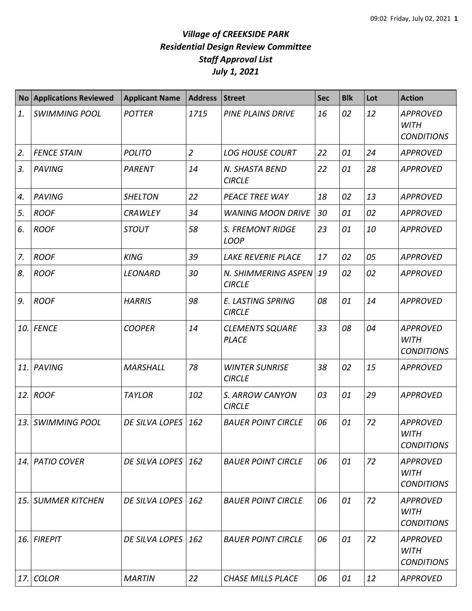| <b>No</b> | <b>Applications Reviewed</b> | <b>Applicant Name</b> | <b>Address</b> | <b>Street</b>                             | <b>Sec</b> | <b>Blk</b> | Lot | <b>Action</b>                                       |
|-----------|------------------------------|-----------------------|----------------|-------------------------------------------|------------|------------|-----|-----------------------------------------------------|
| 1.        | <b>SWIMMING POOL</b>         | <b>POTTER</b>         | 1715           | <b>PINE PLAINS DRIVE</b>                  | 16         | 02         | 12  | <b>APPROVED</b><br><b>WITH</b><br><b>CONDITIONS</b> |
| 2.        | <b>FENCE STAIN</b>           | <b>POLITO</b>         | $\overline{2}$ | <b>LOG HOUSE COURT</b>                    | 22         | 01         | 24  | <b>APPROVED</b>                                     |
| 3.        | <b>PAVING</b>                | <b>PARENT</b>         | 14             | N. SHASTA BEND<br><b>CIRCLE</b>           | 22         | 01         | 28  | <b>APPROVED</b>                                     |
| 4.        | <b>PAVING</b>                | <b>SHELTON</b>        | 22             | PEACE TREE WAY                            | 18         | 02         | 13  | <b>APPROVED</b>                                     |
| 5.        | <b>ROOF</b>                  | <b>CRAWLEY</b>        | 34             | <b>WANING MOON DRIVE</b>                  | 30         | 01         | 02  | <b>APPROVED</b>                                     |
| 6.        | <b>ROOF</b>                  | <b>STOUT</b>          | 58             | <b>S. FREMONT RIDGE</b><br><b>LOOP</b>    | 23         | 01         | 10  | <b>APPROVED</b>                                     |
| 7.        | <b>ROOF</b>                  | <b>KING</b>           | 39             | <b>LAKE REVERIE PLACE</b>                 | 17         | 02         | 05  | <b>APPROVED</b>                                     |
| 8.        | <b>ROOF</b>                  | <b>LEONARD</b>        | 30             | N. SHIMMERING ASPEN<br><b>CIRCLE</b>      | 19         | 02         | 02  | <b>APPROVED</b>                                     |
| 9.        | <b>ROOF</b>                  | <b>HARRIS</b>         | 98             | <b>E. LASTING SPRING</b><br><b>CIRCLE</b> | 08         | 01         | 14  | <b>APPROVED</b>                                     |
| 10.       | <b>FENCE</b>                 | <b>COOPER</b>         | 14             | <b>CLEMENTS SQUARE</b><br><b>PLACE</b>    | 33         | 08         | 04  | <b>APPROVED</b><br><b>WITH</b><br><b>CONDITIONS</b> |
| 11.       | <b>PAVING</b>                | <b>MARSHALL</b>       | 78             | <b>WINTER SUNRISE</b><br><b>CIRCLE</b>    | 38         | 02         | 15  | <b>APPROVED</b>                                     |
| 12.       | <b>ROOF</b>                  | <b>TAYLOR</b>         | 102            | S. ARROW CANYON<br><b>CIRCLE</b>          | 03         | 01         | 29  | <b>APPROVED</b>                                     |
| 13.       | <b>SWIMMING POOL</b>         | DE SILVA LOPES        | 162            | <b>BAUER POINT CIRCLE</b>                 | 06         | 01         | 72  | <b>APPROVED</b><br><b>WITH</b><br><b>CONDITIONS</b> |
| 14.       | <b>PATIO COVER</b>           | DE SILVA LOPES        | 162            | <b>BAUER POINT CIRCLE</b>                 | 06         | 01         | 72  | APPROVED<br><b>WITH</b><br><b>CONDITIONS</b>        |
| 15.       | <b>SUMMER KITCHEN</b>        | DE SILVA LOPES        | 162            | <b>BAUER POINT CIRCLE</b>                 | 06         | 01         | 72  | <b>APPROVED</b><br>WITH<br><b>CONDITIONS</b>        |
| 16.       | <b>FIREPIT</b>               | <b>DE SILVA LOPES</b> | 162            | <b>BAUER POINT CIRCLE</b>                 | 06         | 01         | 72  | APPROVED<br><b>WITH</b><br><b>CONDITIONS</b>        |
| 17.       | <b>COLOR</b>                 | <b>MARTIN</b>         | 22             | <b>CHASE MILLS PLACE</b>                  | 06         | 01         | 12  | <b>APPROVED</b>                                     |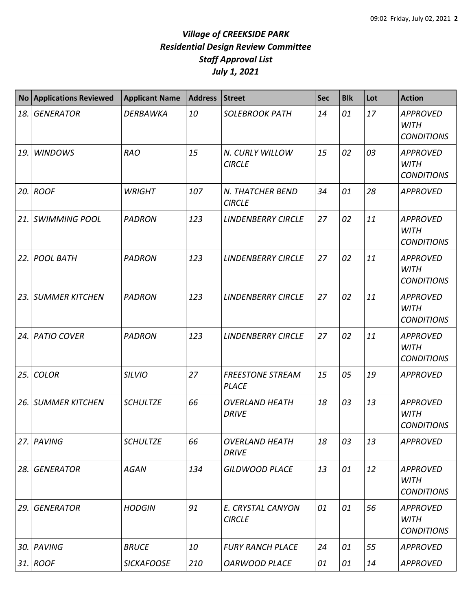| <b>No</b> | <b>Applications Reviewed</b> | <b>Applicant Name</b> | <b>Address</b> | <b>Street</b>                           | <b>Sec</b> | <b>Blk</b> | Lot | <b>Action</b>                                       |
|-----------|------------------------------|-----------------------|----------------|-----------------------------------------|------------|------------|-----|-----------------------------------------------------|
| 18.       | <b>GENERATOR</b>             | <b>DERBAWKA</b>       | 10             | <b>SOLEBROOK PATH</b>                   | 14         | 01         | 17  | <b>APPROVED</b><br><b>WITH</b><br><b>CONDITIONS</b> |
| 19.       | <b>WINDOWS</b>               | <b>RAO</b>            | 15             | N. CURLY WILLOW<br><b>CIRCLE</b>        | 15         | 02         | 03  | <b>APPROVED</b><br><b>WITH</b><br><b>CONDITIONS</b> |
| 20.       | <b>ROOF</b>                  | <b>WRIGHT</b>         | 107            | N. THATCHER BEND<br><b>CIRCLE</b>       | 34         | 01         | 28  | <b>APPROVED</b>                                     |
| 21.       | <b>SWIMMING POOL</b>         | <b>PADRON</b>         | 123            | <b>LINDENBERRY CIRCLE</b>               | 27         | 02         | 11  | <b>APPROVED</b><br><b>WITH</b><br><b>CONDITIONS</b> |
| 22.       | <b>POOL BATH</b>             | <b>PADRON</b>         | 123            | <b>LINDENBERRY CIRCLE</b>               | 27         | 02         | 11  | <b>APPROVED</b><br><b>WITH</b><br><b>CONDITIONS</b> |
| 23.       | <b>SUMMER KITCHEN</b>        | <b>PADRON</b>         | 123            | <b>LINDENBERRY CIRCLE</b>               | 27         | 02         | 11  | <b>APPROVED</b><br><b>WITH</b><br><b>CONDITIONS</b> |
| 24.       | <b>PATIO COVER</b>           | <b>PADRON</b>         | 123            | <b>LINDENBERRY CIRCLE</b>               | 27         | 02         | 11  | <b>APPROVED</b><br><b>WITH</b><br><b>CONDITIONS</b> |
| 25.       | <b>COLOR</b>                 | <b>SILVIO</b>         | 27             | <b>FREESTONE STREAM</b><br><b>PLACE</b> | 15         | 05         | 19  | <b>APPROVED</b>                                     |
| 26.       | <b>SUMMER KITCHEN</b>        | <b>SCHULTZE</b>       | 66             | <b>OVERLAND HEATH</b><br><b>DRIVE</b>   | 18         | 03         | 13  | <b>APPROVED</b><br><b>WITH</b><br><b>CONDITIONS</b> |
|           | 27. PAVING                   | <b>SCHULTZE</b>       | 66             | <b>OVERLAND HEATH</b><br><b>DRIVE</b>   | 18         | 03         | 13  | <b>APPROVED</b>                                     |
| 28.       | <b>GENERATOR</b>             | <b>AGAN</b>           | 134            | <b>GILDWOOD PLACE</b>                   | 13         | 01         | 12  | <b>APPROVED</b><br><b>WITH</b><br><b>CONDITIONS</b> |
| 29.       | <b>GENERATOR</b>             | <b>HODGIN</b>         | 91             | E. CRYSTAL CANYON<br><b>CIRCLE</b>      | 01         | 01         | 56  | <b>APPROVED</b><br><b>WITH</b><br><b>CONDITIONS</b> |
| 30.       | <b>PAVING</b>                | <b>BRUCE</b>          | 10             | <b>FURY RANCH PLACE</b>                 | 24         | 01         | 55  | <b>APPROVED</b>                                     |
|           | $31.$ ROOF                   | <b>SICKAFOOSE</b>     | 210            | <b>OARWOOD PLACE</b>                    | 01         | 01         | 14  | <b>APPROVED</b>                                     |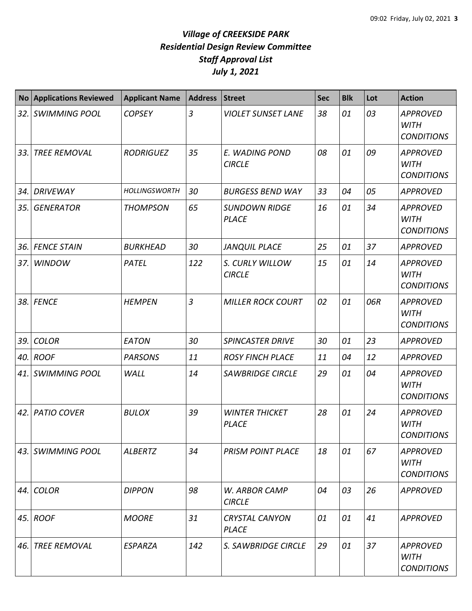| <b>No</b> | <b>Applications Reviewed</b> | <b>Applicant Name</b> | <b>Address</b> | <b>Street</b>                         | <b>Sec</b> | <b>Blk</b> | Lot | <b>Action</b>                                       |
|-----------|------------------------------|-----------------------|----------------|---------------------------------------|------------|------------|-----|-----------------------------------------------------|
| 32.       | <b>SWIMMING POOL</b>         | <b>COPSEY</b>         | $\overline{3}$ | <b>VIOLET SUNSET LANE</b>             | 38         | 01         | 03  | <b>APPROVED</b><br><b>WITH</b><br><b>CONDITIONS</b> |
| 33.       | <b>TREE REMOVAL</b>          | <b>RODRIGUEZ</b>      | 35             | E. WADING POND<br><b>CIRCLE</b>       | 08         | 01         | 09  | <b>APPROVED</b><br><b>WITH</b><br><b>CONDITIONS</b> |
| 34.       | <b>DRIVEWAY</b>              | <b>HOLLINGSWORTH</b>  | 30             | <b>BURGESS BEND WAY</b>               | 33         | 04         | 05  | <b>APPROVED</b>                                     |
| 35.       | <b>GENERATOR</b>             | <b>THOMPSON</b>       | 65             | <b>SUNDOWN RIDGE</b><br><b>PLACE</b>  | 16         | 01         | 34  | <b>APPROVED</b><br><b>WITH</b><br><b>CONDITIONS</b> |
| 36.       | <b>FENCE STAIN</b>           | <b>BURKHEAD</b>       | 30             | <b>JANQUIL PLACE</b>                  | 25         | 01         | 37  | <b>APPROVED</b>                                     |
| 37.       | <b>WINDOW</b>                | PATEL                 | 122            | S. CURLY WILLOW<br><b>CIRCLE</b>      | 15         | 01         | 14  | <b>APPROVED</b><br><b>WITH</b><br><b>CONDITIONS</b> |
| 38.1      | <b>FENCE</b>                 | <b>HEMPEN</b>         | $\overline{3}$ | <b>MILLER ROCK COURT</b>              | 02         | 01         | 06R | <b>APPROVED</b><br><b>WITH</b><br><b>CONDITIONS</b> |
| 39.       | <b>COLOR</b>                 | EATON                 | 30             | <b>SPINCASTER DRIVE</b>               | 30         | 01         | 23  | <b>APPROVED</b>                                     |
| 40.       | <b>ROOF</b>                  | <b>PARSONS</b>        | 11             | <b>ROSY FINCH PLACE</b>               | 11         | 04         | 12  | <b>APPROVED</b>                                     |
| 41.       | <b>SWIMMING POOL</b>         | WALL                  | 14             | <b>SAWBRIDGE CIRCLE</b>               | 29         | 01         | 04  | <b>APPROVED</b><br><b>WITH</b><br><b>CONDITIONS</b> |
| 42.       | <b>PATIO COVER</b>           | <b>BULOX</b>          | 39             | <b>WINTER THICKET</b><br><b>PLACE</b> | 28         | 01         | 24  | <b>APPROVED</b><br><b>WITH</b><br><b>CONDITIONS</b> |
| 43. I     | <b>SWIMMING POOL</b>         | ALBERTZ               | 34             | <b>PRISM POINT PLACE</b>              | 18         | 01         | 67  | <b>APPROVED</b><br><b>WITH</b><br><b>CONDITIONS</b> |
| 44.       | <b>COLOR</b>                 | <b>DIPPON</b>         | 98             | W. ARBOR CAMP<br><b>CIRCLE</b>        | 04         | 03         | 26  | <b>APPROVED</b>                                     |
|           | 45. $ROOF$                   | <b>MOORE</b>          | 31             | <b>CRYSTAL CANYON</b><br><b>PLACE</b> | 01         | 01         | 41  | <b>APPROVED</b>                                     |
| 46.       | <b>TREE REMOVAL</b>          | <b>ESPARZA</b>        | 142            | S. SAWBRIDGE CIRCLE                   | 29         | 01         | 37  | <b>APPROVED</b><br><b>WITH</b><br><b>CONDITIONS</b> |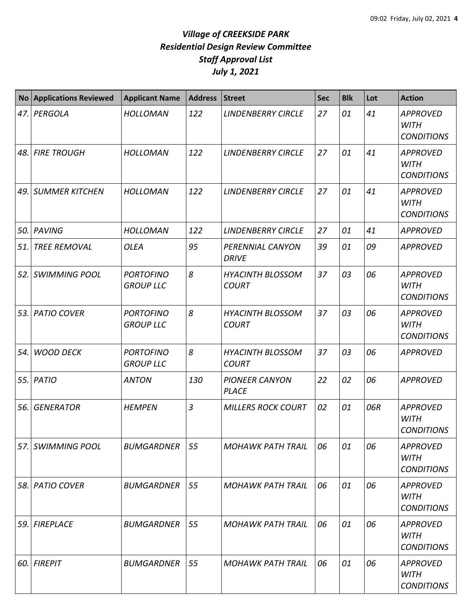| <b>No</b> | <b>Applications Reviewed</b>  | <b>Applicant Name</b>                | <b>Address</b> | <b>Street</b>                           | <b>Sec</b> | <b>Blk</b> | Lot | <b>Action</b>                                       |
|-----------|-------------------------------|--------------------------------------|----------------|-----------------------------------------|------------|------------|-----|-----------------------------------------------------|
|           | 47. PERGOLA                   | <b>HOLLOMAN</b>                      | 122            | <b>LINDENBERRY CIRCLE</b>               | 27         | 01         | 41  | <b>APPROVED</b><br><b>WITH</b><br><b>CONDITIONS</b> |
|           | 48. FIRE TROUGH               | <b>HOLLOMAN</b>                      | 122            | <b>LINDENBERRY CIRCLE</b>               | 27         | 01         | 41  | <b>APPROVED</b><br><b>WITH</b><br><b>CONDITIONS</b> |
| 49.       | <b>SUMMER KITCHEN</b>         | <b>HOLLOMAN</b>                      | 122            | <b>LINDENBERRY CIRCLE</b>               | 27         | 01         | 41  | <b>APPROVED</b><br><b>WITH</b><br><b>CONDITIONS</b> |
| 50.       | <b>PAVING</b>                 | <b>HOLLOMAN</b>                      | 122            | <b>LINDENBERRY CIRCLE</b>               | 27         | 01         | 41  | <b>APPROVED</b>                                     |
| 51.       | <b>TREE REMOVAL</b>           | <b>OLEA</b>                          | 95             | PERENNIAL CANYON<br><b>DRIVE</b>        | 39         | 01         | 09  | <b>APPROVED</b>                                     |
|           | 52. SWIMMING POOL             | <b>PORTOFINO</b><br><b>GROUP LLC</b> | 8              | <b>HYACINTH BLOSSOM</b><br><b>COURT</b> | 37         | 03         | 06  | <b>APPROVED</b><br><b>WITH</b><br><b>CONDITIONS</b> |
| 53.1      | <b>PATIO COVER</b>            | <b>PORTOFINO</b><br><b>GROUP LLC</b> | 8              | <b>HYACINTH BLOSSOM</b><br><b>COURT</b> | 37         | 03         | 06  | <b>APPROVED</b><br><b>WITH</b><br><b>CONDITIONS</b> |
| 54.       | <b>WOOD DECK</b>              | <b>PORTOFINO</b><br><b>GROUP LLC</b> | 8              | <b>HYACINTH BLOSSOM</b><br><b>COURT</b> | 37         | 03         | 06  | <b>APPROVED</b>                                     |
|           | 55. PATIO                     | <b>ANTON</b>                         | 130            | <b>PIONEER CANYON</b><br><b>PLACE</b>   | 22         | 02         | 06  | <b>APPROVED</b>                                     |
| 56.       | <b>GENERATOR</b>              | <b>HEMPEN</b>                        | $\overline{3}$ | <b>MILLERS ROCK COURT</b>               | 02         | 01         | 06R | <b>APPROVED</b><br><b>WITH</b><br><b>CONDITIONS</b> |
| 57.I      | <b>SWIMMING POOL</b>          | <b>BUMGARDNER</b>                    | 55             | <b>MOHAWK PATH TRAIL</b>                | 06         | 01         | 06  | <b>APPROVED</b><br><b>WITH</b><br><b>CONDITIONS</b> |
|           | <i><b>58. PATIO COVER</b></i> | <b>BUMGARDNER</b>                    | 55             | <b>MOHAWK PATH TRAIL</b>                | 06         | 01         | 06  | <b>APPROVED</b><br>WITH<br><b>CONDITIONS</b>        |
| 59.       | <b>FIREPLACE</b>              | <b>BUMGARDNER</b>                    | 55             | <b>MOHAWK PATH TRAIL</b>                | 06         | 01         | 06  | <b>APPROVED</b><br><b>WITH</b><br><b>CONDITIONS</b> |
|           | 60. FIREPIT                   | <b>BUMGARDNER</b>                    | 55             | <b>MOHAWK PATH TRAIL</b>                | 06         | 01         | 06  | <b>APPROVED</b><br><b>WITH</b><br><b>CONDITIONS</b> |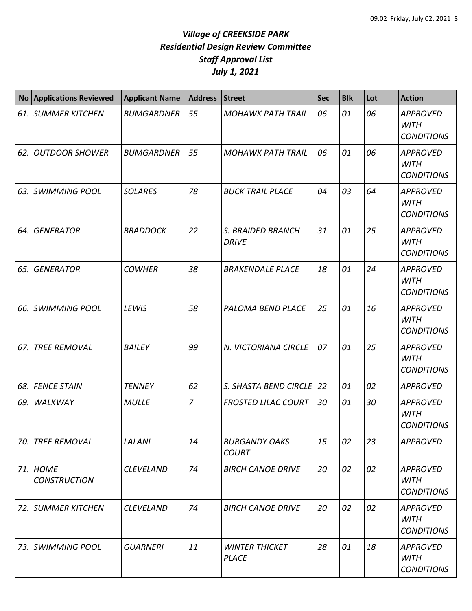|      | No Applications Reviewed        | <b>Applicant Name</b> | <b>Address</b> | <b>Street</b>                         | <b>Sec</b> | <b>Blk</b> | Lot | <b>Action</b>                                       |
|------|---------------------------------|-----------------------|----------------|---------------------------------------|------------|------------|-----|-----------------------------------------------------|
|      | 61. SUMMER KITCHEN              | <b>BUMGARDNER</b>     | 55             | <b>MOHAWK PATH TRAIL</b>              | 06         | 01         | 06  | <b>APPROVED</b><br><b>WITH</b><br><b>CONDITIONS</b> |
| 62.  | <b>OUTDOOR SHOWER</b>           | <b>BUMGARDNER</b>     | 55             | <b>MOHAWK PATH TRAIL</b>              | 06         | 01         | 06  | <b>APPROVED</b><br><b>WITH</b><br><b>CONDITIONS</b> |
| 63.  | <b>SWIMMING POOL</b>            | <b>SOLARES</b>        | 78             | <b>BUCK TRAIL PLACE</b>               | 04         | 03         | 64  | <b>APPROVED</b><br><b>WITH</b><br><b>CONDITIONS</b> |
| 64.  | <b>GENERATOR</b>                | <b>BRADDOCK</b>       | 22             | S. BRAIDED BRANCH<br><b>DRIVE</b>     | 31         | 01         | 25  | <b>APPROVED</b><br><b>WITH</b><br><b>CONDITIONS</b> |
| 65.  | <b>GENERATOR</b>                | <b>COWHER</b>         | 38             | <b>BRAKENDALE PLACE</b>               | 18         | 01         | 24  | <b>APPROVED</b><br><b>WITH</b><br><b>CONDITIONS</b> |
| 66.  | <b>SWIMMING POOL</b>            | LEWIS                 | 58             | PALOMA BEND PLACE                     | 25         | 01         | 16  | <b>APPROVED</b><br><b>WITH</b><br><b>CONDITIONS</b> |
| 67.  | <b>TREE REMOVAL</b>             | <b>BAILEY</b>         | 99             | N. VICTORIANA CIRCLE                  | 07         | 01         | 25  | <b>APPROVED</b><br><b>WITH</b><br><b>CONDITIONS</b> |
|      | 68. FENCE STAIN                 | <b>TENNEY</b>         | 62             | S. SHASTA BEND CIRCLE 22              |            | 01         | 02  | <b>APPROVED</b>                                     |
| 69.  | <b>WALKWAY</b>                  | <b>MULLE</b>          | $\overline{7}$ | <b>FROSTED LILAC COURT</b>            | 30         | 01         | 30  | <b>APPROVED</b><br><b>WITH</b><br><b>CONDITIONS</b> |
| 70.1 | <b>TREE REMOVAL</b>             | <b>LALANI</b>         | 14             | <b>BURGANDY OAKS</b><br><b>COURT</b>  | 15         | 02         | 23  | <b>APPROVED</b>                                     |
|      | 71. HOME<br><b>CONSTRUCTION</b> | CLEVELAND             | 74             | <b>BIRCH CANOE DRIVE</b>              | 20         | 02         | 02  | <b>APPROVED</b><br><b>WITH</b><br><b>CONDITIONS</b> |
|      | 72. SUMMER KITCHEN              | <b>CLEVELAND</b>      | 74             | <b>BIRCH CANOE DRIVE</b>              | 20         | 02         | 02  | <b>APPROVED</b><br><b>WITH</b><br><b>CONDITIONS</b> |
|      | 73. SWIMMING POOL               | <b>GUARNERI</b>       | 11             | <b>WINTER THICKET</b><br><b>PLACE</b> | 28         | 01         | 18  | <b>APPROVED</b><br><b>WITH</b><br><b>CONDITIONS</b> |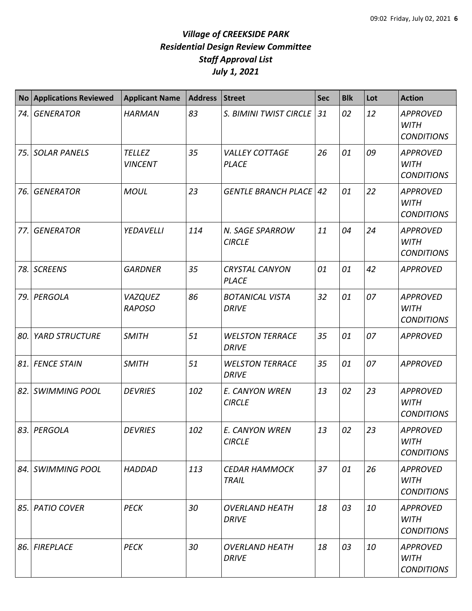| No <sub>1</sub> | <b>Applications Reviewed</b> | <b>Applicant Name</b>           | <b>Address</b> | <b>Street</b>                          | <b>Sec</b> | <b>Blk</b> | Lot | <b>Action</b>                                       |
|-----------------|------------------------------|---------------------------------|----------------|----------------------------------------|------------|------------|-----|-----------------------------------------------------|
|                 | 74. GENERATOR                | <b>HARMAN</b>                   | 83             | S. BIMINI TWIST CIRCLE                 | 31         | 02         | 12  | <b>APPROVED</b><br><b>WITH</b><br><b>CONDITIONS</b> |
|                 | 75. SOLAR PANELS             | <b>TELLEZ</b><br><b>VINCENT</b> | 35             | <b>VALLEY COTTAGE</b><br><b>PLACE</b>  | 26         | 01         | 09  | <b>APPROVED</b><br><b>WITH</b><br><b>CONDITIONS</b> |
| 76.             | <b>GENERATOR</b>             | <b>MOUL</b>                     | 23             | <b>GENTLE BRANCH PLACE</b>             | 42         | 01         | 22  | <b>APPROVED</b><br><b>WITH</b><br><b>CONDITIONS</b> |
| 77.             | <b>GENERATOR</b>             | YEDAVELLI                       | 114            | N. SAGE SPARROW<br><b>CIRCLE</b>       | 11         | 04         | 24  | <b>APPROVED</b><br><b>WITH</b><br><b>CONDITIONS</b> |
|                 | 78. SCREENS                  | <b>GARDNER</b>                  | 35             | <b>CRYSTAL CANYON</b><br><b>PLACE</b>  | 01         | 01         | 42  | <b>APPROVED</b>                                     |
|                 | 79. PERGOLA                  | <b>VAZQUEZ</b><br><b>RAPOSO</b> | 86             | <b>BOTANICAL VISTA</b><br><b>DRIVE</b> | 32         | 01         | 07  | <b>APPROVED</b><br><b>WITH</b><br><b>CONDITIONS</b> |
| 80.             | <b>YARD STRUCTURE</b>        | <b>SMITH</b>                    | 51             | <b>WELSTON TERRACE</b><br><b>DRIVE</b> | 35         | 01         | 07  | <b>APPROVED</b>                                     |
|                 | 81. FENCE STAIN              | <b>SMITH</b>                    | 51             | <b>WELSTON TERRACE</b><br><b>DRIVE</b> | 35         | 01         | 07  | <b>APPROVED</b>                                     |
|                 | 82. SWIMMING POOL            | <b>DEVRIES</b>                  | 102            | E. CANYON WREN<br><b>CIRCLE</b>        | 13         | 02         | 23  | <b>APPROVED</b><br><b>WITH</b><br><b>CONDITIONS</b> |
|                 | 83. PERGOLA                  | <b>DEVRIES</b>                  | 102            | E. CANYON WREN<br><b>CIRCLE</b>        | 13         | 02         | 23  | <b>APPROVED</b><br><b>WITH</b><br><b>CONDITIONS</b> |
|                 | 84. SWIMMING POOL            | <b>HADDAD</b>                   | 113            | <b>CEDAR HAMMOCK</b><br>TRAIL          | 37         | 01         | 26  | <b>APPROVED</b><br>WITH<br><b>CONDITIONS</b>        |
|                 | 85. PATIO COVER              | <b>PECK</b>                     | 30             | <b>OVERLAND HEATH</b><br><b>DRIVE</b>  | 18         | 03         | 10  | APPROVED<br><b>WITH</b><br><b>CONDITIONS</b>        |
|                 | 86. FIREPLACE                | <b>PECK</b>                     | 30             | <b>OVERLAND HEATH</b><br><b>DRIVE</b>  | 18         | 03         | 10  | <b>APPROVED</b><br><b>WITH</b><br><b>CONDITIONS</b> |